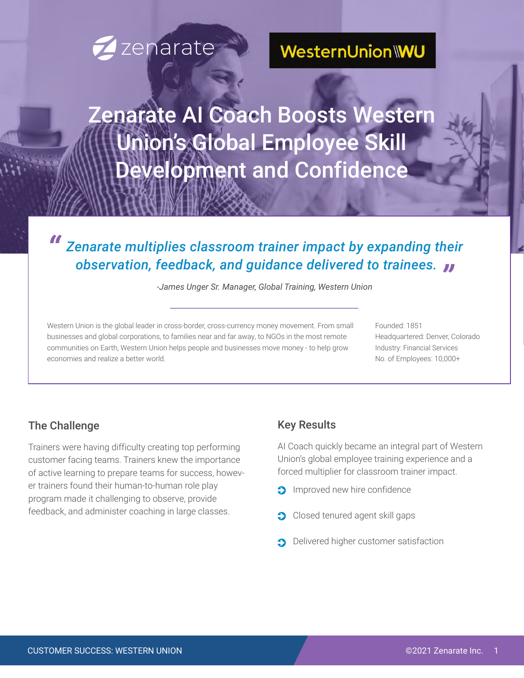# **Zenarate**

# WesternUnion\WU

Zenarate AI Coach Boosts Western Union's Global Employee Skill Development and Confidence

# *Zenarate multiplies classroom trainer impact by expanding their observation, feedback, and guidance delivered to trainees. " "*

*-James Unger Sr. Manager, Global Training, Western Union*

Western Union is the global leader in cross-border, cross-currency money movement. From small businesses and global corporations, to families near and far away, to NGOs in the most remote communities on Earth, Western Union helps people and businesses move money - to help grow economies and realize a better world.

Founded: 1851 Headquartered: Denver, Colorado Industry: Financial Services No. of Employees: 10,000+

### The Challenge

Trainers were having difficulty creating top performing customer facing teams. Trainers knew the importance of active learning to prepare teams for success, however trainers found their human-to-human role play program made it challenging to observe, provide feedback, and administer coaching in large classes.

### Key Results

AI Coach quickly became an integral part of Western Union's global employee training experience and a forced multiplier for classroom trainer impact.

- **Improved new hire confidence**
- **Closed tenured agent skill gaps**
- Delivered higher customer satisfaction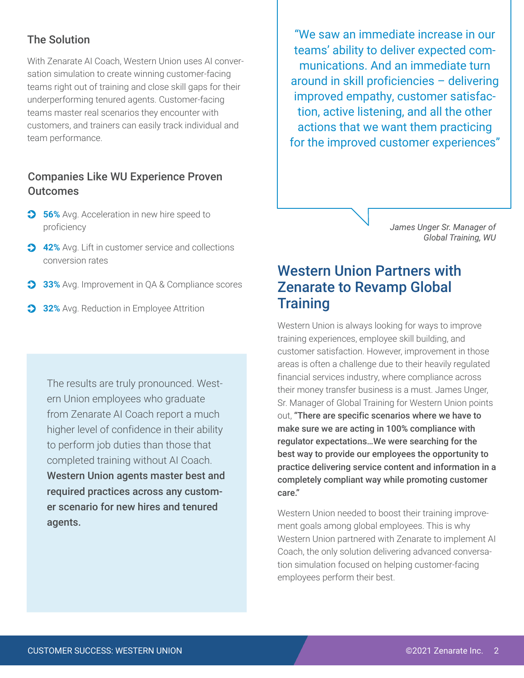### The Solution

With Zenarate AI Coach, Western Union uses AI conversation simulation to create winning customer-facing teams right out of training and close skill gaps for their underperforming tenured agents. Customer-facing teams master real scenarios they encounter with customers, and trainers can easily track individual and team performance.

### Companies Like WU Experience Proven **Outcomes**

- **56%** Avg. Acceleration in new hire speed to proficiency
- **42%** Avg. Lift in customer service and collections conversion rates
- **33%** Avg. Improvement in QA & Compliance scores
- **32%** Avg. Reduction in Employee Attrition

The results are truly pronounced. Western Union employees who graduate from Zenarate AI Coach report a much higher level of confidence in their ability to perform job duties than those that completed training without AI Coach. Western Union agents master best and required practices across any customer scenario for new hires and tenured agents.

"We saw an immediate increase in our teams' ability to deliver expected communications. And an immediate turn around in skill proficiencies – delivering improved empathy, customer satisfaction, active listening, and all the other actions that we want them practicing for the improved customer experiences"

> *James Unger Sr. Manager of Global Training, WU*

## Western Union Partners with Zenarate to Revamp Global **Training**

Western Union is always looking for ways to improve training experiences, employee skill building, and customer satisfaction. However, improvement in those areas is often a challenge due to their heavily regulated financial services industry, where compliance across their money transfer business is a must. James Unger, Sr. Manager of Global Training for Western Union points out, "There are specific scenarios where we have to make sure we are acting in 100% compliance with regulator expectations…We were searching for the best way to provide our employees the opportunity to practice delivering service content and information in a completely compliant way while promoting customer care."

Western Union needed to boost their training improvement goals among global employees. This is why Western Union partnered with Zenarate to implement AI Coach, the only solution delivering advanced conversation simulation focused on helping customer-facing employees perform their best.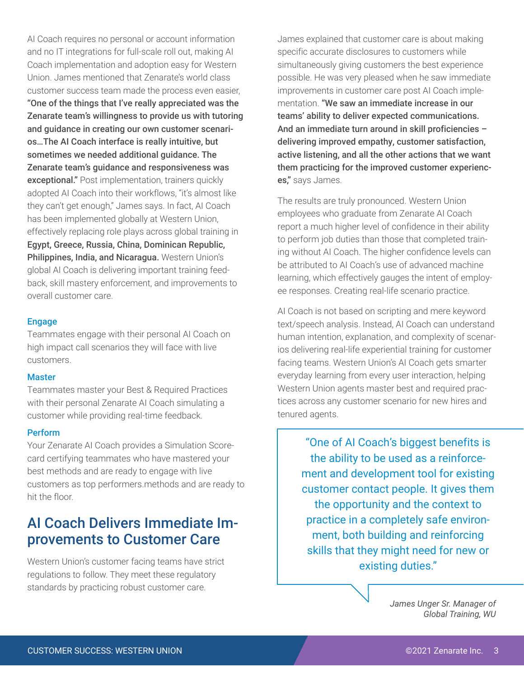AI Coach requires no personal or account information and no IT integrations for full-scale roll out, making AI Coach implementation and adoption easy for Western Union. James mentioned that Zenarate's world class customer success team made the process even easier, "One of the things that I've really appreciated was the Zenarate team's willingness to provide us with tutoring and guidance in creating our own customer scenari-

os…The AI Coach interface is really intuitive, but sometimes we needed additional guidance. The Zenarate team's guidance and responsiveness was exceptional." Post implementation, trainers quickly adopted AI Coach into their workflows, "it's almost like they can't get enough," James says. In fact, AI Coach has been implemented globally at Western Union, effectively replacing role plays across global training in Egypt, Greece, Russia, China, Dominican Republic, Philippines, India, and Nicaragua. Western Union's global AI Coach is delivering important training feedback, skill mastery enforcement, and improvements to overall customer care.

#### Engage

Teammates engage with their personal AI Coach on high impact call scenarios they will face with live customers.

#### **Master**

Teammates master your Best & Required Practices with their personal Zenarate AI Coach simulating a customer while providing real-time feedback.

#### Perform

Your Zenarate AI Coach provides a Simulation Scorecard certifying teammates who have mastered your best methods and are ready to engage with live customers as top performers.methods and are ready to hit the floor.

## AI Coach Delivers Immediate Improvements to Customer Care

Western Union's customer facing teams have strict regulations to follow. They meet these regulatory standards by practicing robust customer care.

James explained that customer care is about making specific accurate disclosures to customers while simultaneously giving customers the best experience possible. He was very pleased when he saw immediate improvements in customer care post AI Coach implementation. "We saw an immediate increase in our teams' ability to deliver expected communications. And an immediate turn around in skill proficiencies – delivering improved empathy, customer satisfaction, active listening, and all the other actions that we want them practicing for the improved customer experiences," says James.

The results are truly pronounced. Western Union employees who graduate from Zenarate AI Coach report a much higher level of confidence in their ability to perform job duties than those that completed training without AI Coach. The higher confidence levels can be attributed to AI Coach's use of advanced machine learning, which effectively gauges the intent of employee responses. Creating real-life scenario practice.

AI Coach is not based on scripting and mere keyword text/speech analysis. Instead, AI Coach can understand human intention, explanation, and complexity of scenarios delivering real-life experiential training for customer facing teams. Western Union's AI Coach gets smarter everyday learning from every user interaction, helping Western Union agents master best and required practices across any customer scenario for new hires and tenured agents.

> "One of AI Coach's biggest benefits is the ability to be used as a reinforcement and development tool for existing customer contact people. It gives them the opportunity and the context to practice in a completely safe environment, both building and reinforcing skills that they might need for new or existing duties."

> > *James Unger Sr. Manager of Global Training, WU*